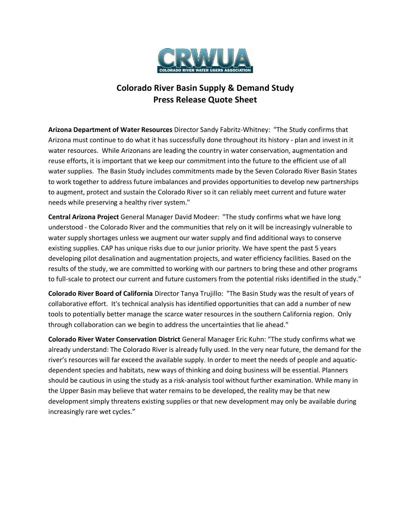

## **Colorado River Basin Supply & Demand Study Press Release Quote Sheet**

**Arizona Department of Water Resources** Director Sandy Fabritz-Whitney: "The Study confirms that Arizona must continue to do what it has successfully done throughout its history - plan and invest in it water resources. While Arizonans are leading the country in water conservation, augmentation and reuse efforts, it is important that we keep our commitment into the future to the efficient use of all water supplies. The Basin Study includes commitments made by the Seven Colorado River Basin States to work together to address future imbalances and provides opportunities to develop new partnerships to augment, protect and sustain the Colorado River so it can reliably meet current and future water needs while preserving a healthy river system."

**Central Arizona Project** General Manager David Modeer: "The study confirms what we have long understood - the Colorado River and the communities that rely on it will be increasingly vulnerable to water supply shortages unless we augment our water supply and find additional ways to conserve existing supplies. CAP has unique risks due to our junior priority. We have spent the past 5 years developing pilot desalination and augmentation projects, and water efficiency facilities. Based on the results of the study, we are committed to working with our partners to bring these and other programs to full-scale to protect our current and future customers from the potential risks identified in the study."

**Colorado River Board of California** Director Tanya Trujillo: "The Basin Study was the result of years of collaborative effort. It's technical analysis has identified opportunities that can add a number of new tools to potentially better manage the scarce water resources in the southern California region. Only through collaboration can we begin to address the uncertainties that lie ahead."

**Colorado River Water Conservation District** General Manager Eric Kuhn: "The study confirms what we already understand: The Colorado River is already fully used. In the very near future, the demand for the river's resources will far exceed the available supply. In order to meet the needs of people and aquaticdependent species and habitats, new ways of thinking and doing business will be essential. Planners should be cautious in using the study as a risk-analysis tool without further examination. While many in the Upper Basin may believe that water remains to be developed, the reality may be that new development simply threatens existing supplies or that new development may only be available during increasingly rare wet cycles."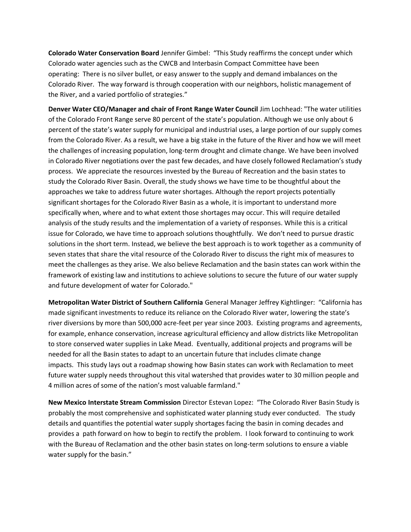**Colorado Water Conservation Board** Jennifer Gimbel: "This Study reaffirms the concept under which Colorado water agencies such as the CWCB and Interbasin Compact Committee have been operating: There is no silver bullet, or easy answer to the supply and demand imbalances on the Colorado River. The way forward is through cooperation with our neighbors, holistic management of the River, and a varied portfolio of strategies."

**Denver Water CEO/Manager and chair of Front Range Water Council** Jim Lochhead: "The water utilities of the Colorado Front Range serve 80 percent of the state's population. Although we use only about 6 percent of the state's water supply for municipal and industrial uses, a large portion of our supply comes from the Colorado River. As a result, we have a big stake in the future of the River and how we will meet the challenges of increasing population, long-term drought and climate change. We have been involved in Colorado River negotiations over the past few decades, and have closely followed Reclamation's study process. We appreciate the resources invested by the Bureau of Recreation and the basin states to study the Colorado River Basin. Overall, the study shows we have time to be thoughtful about the approaches we take to address future water shortages. Although the report projects potentially significant shortages for the Colorado River Basin as a whole, it is important to understand more specifically when, where and to what extent those shortages may occur. This will require detailed analysis of the study results and the implementation of a variety of responses. While this is a critical issue for Colorado, we have time to approach solutions thoughtfully. We don't need to pursue drastic solutions in the short term. Instead, we believe the best approach is to work together as a community of seven states that share the vital resource of the Colorado River to discuss the right mix of measures to meet the challenges as they arise. We also believe Reclamation and the basin states can work within the framework of existing law and institutions to achieve solutions to secure the future of our water supply and future development of water for Colorado."

**Metropolitan Water District of Southern California** General Manager Jeffrey Kightlinger: "California has made significant investments to reduce its reliance on the Colorado River water, lowering the state's river diversions by more than 500,000 acre-feet per year since 2003. Existing programs and agreements, for example, enhance conservation, increase agricultural efficiency and allow districts like Metropolitan to store conserved water supplies in Lake Mead. Eventually, additional projects and programs will be needed for all the Basin states to adapt to an uncertain future that includes climate change impacts. This study lays out a roadmap showing how Basin states can work with Reclamation to meet future water supply needs throughout this vital watershed that provides water to 30 million people and 4 million acres of some of the nation's most valuable farmland."

**New Mexico Interstate Stream Commission** Director Estevan Lopez: "The Colorado River Basin Study is probably the most comprehensive and sophisticated water planning study ever conducted. The study details and quantifies the potential water supply shortages facing the basin in coming decades and provides a path forward on how to begin to rectify the problem. I look forward to continuing to work with the Bureau of Reclamation and the other basin states on long-term solutions to ensure a viable water supply for the basin."